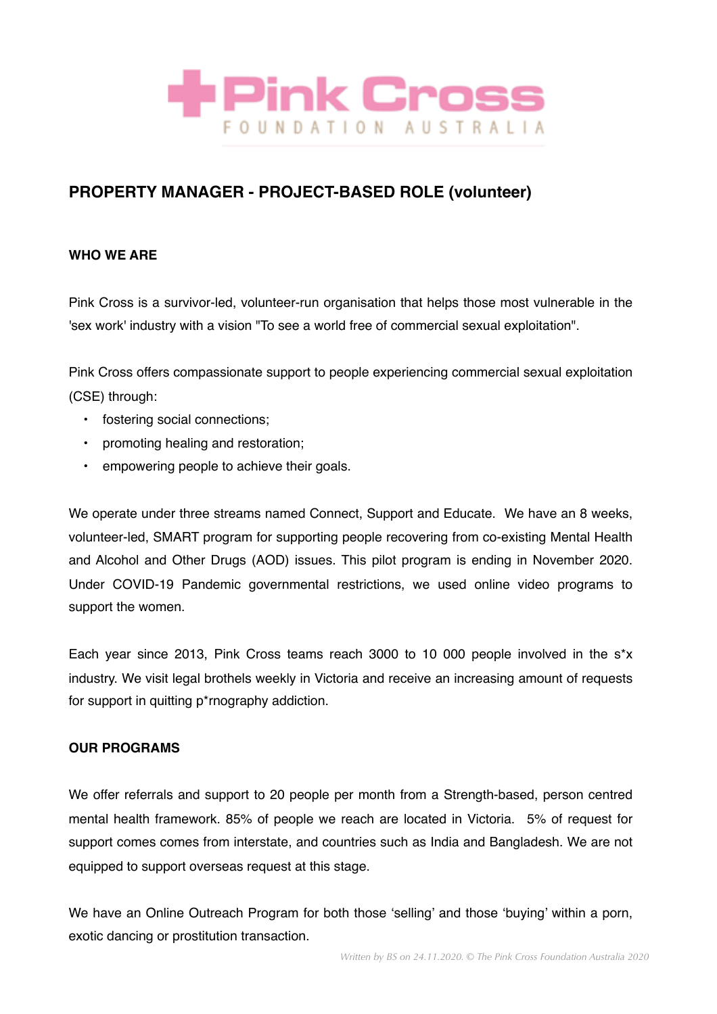

# **PROPERTY MANAGER - PROJECT-BASED ROLE (volunteer)**

# **WHO WE ARE**

Pink Cross is a survivor-led, volunteer-run organisation that helps those most vulnerable in the 'sex work' industry with a vision "To see a world free of commercial sexual exploitation".

Pink Cross offers compassionate support to people experiencing commercial sexual exploitation (CSE) through:

- fostering social connections;
- promoting healing and restoration;
- empowering people to achieve their goals.

We operate under three streams named Connect, Support and Educate. We have an 8 weeks, volunteer-led, SMART program for supporting people recovering from co-existing Mental Health and Alcohol and Other Drugs (AOD) issues. This pilot program is ending in November 2020. Under COVID-19 Pandemic governmental restrictions, we used online video programs to support the women.

Each year since 2013, Pink Cross teams reach 3000 to 10 000 people involved in the s\*x industry. We visit legal brothels weekly in Victoria and receive an increasing amount of requests for support in quitting p\*rnography addiction.

### **OUR PROGRAMS**

We offer referrals and support to 20 people per month from a Strength-based, person centred mental health framework. 85% of people we reach are located in Victoria. 5% of request for support comes comes from interstate, and countries such as India and Bangladesh. We are not equipped to support overseas request at this stage.

We have an Online Outreach Program for both those 'selling' and those 'buying' within a porn, exotic dancing or prostitution transaction.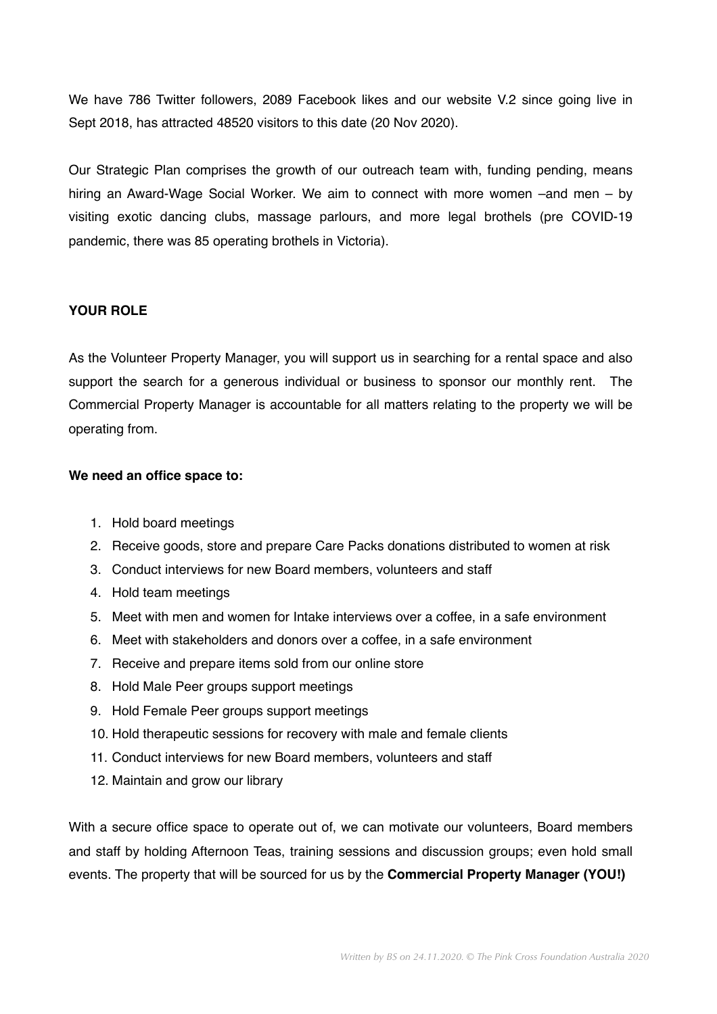We have 786 Twitter followers, 2089 Facebook likes and our website V.2 since going live in Sept 2018, has attracted 48520 visitors to this date (20 Nov 2020).

Our Strategic Plan comprises the growth of our outreach team with, funding pending, means hiring an Award-Wage Social Worker. We aim to connect with more women –and men – by visiting exotic dancing clubs, massage parlours, and more legal brothels (pre COVID-19 pandemic, there was 85 operating brothels in Victoria).

## **YOUR ROLE**

As the Volunteer Property Manager, you will support us in searching for a rental space and also support the search for a generous individual or business to sponsor our monthly rent. The Commercial Property Manager is accountable for all matters relating to the property we will be operating from.

#### **We need an office space to:**

- 1. Hold board meetings
- 2. Receive goods, store and prepare Care Packs donations distributed to women at risk
- 3. Conduct interviews for new Board members, volunteers and staff
- 4. Hold team meetings
- 5. Meet with men and women for Intake interviews over a coffee, in a safe environment
- 6. Meet with stakeholders and donors over a coffee, in a safe environment
- 7. Receive and prepare items sold from our online store
- 8. Hold Male Peer groups support meetings
- 9. Hold Female Peer groups support meetings
- 10. Hold therapeutic sessions for recovery with male and female clients
- 11. Conduct interviews for new Board members, volunteers and staff
- 12. Maintain and grow our library

With a secure office space to operate out of, we can motivate our volunteers, Board members and staff by holding Afternoon Teas, training sessions and discussion groups; even hold small events. The property that will be sourced for us by the **Commercial Property Manager (YOU!)**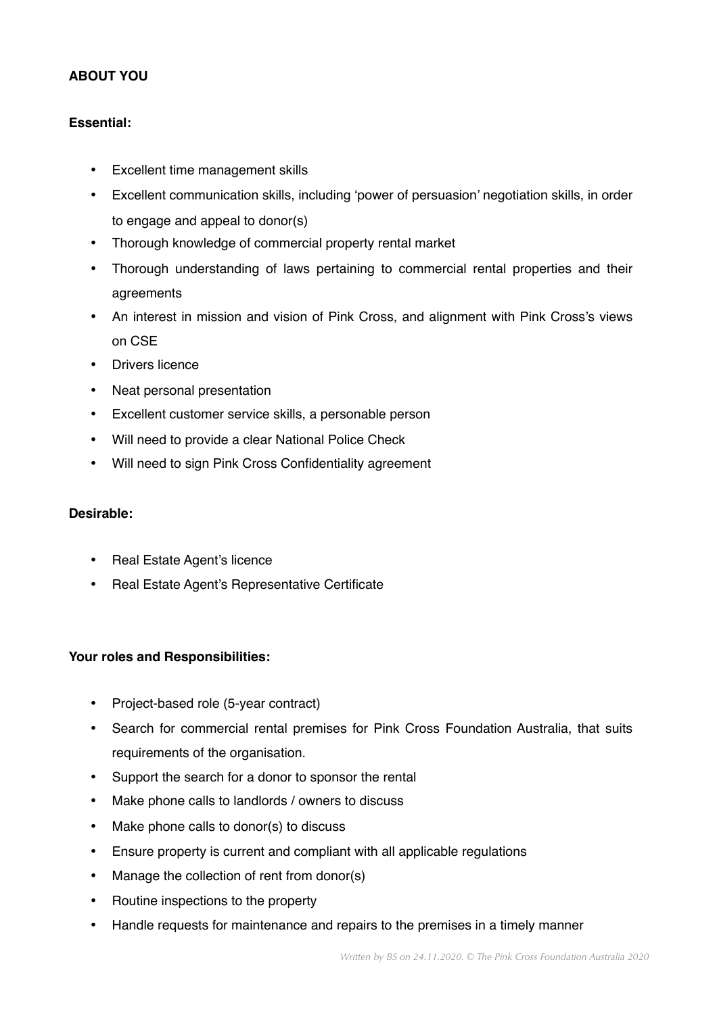# **ABOUT YOU**

## **Essential:**

- Excellent time management skills
- Excellent communication skills, including 'power of persuasion' negotiation skills, in order to engage and appeal to donor(s)
- Thorough knowledge of commercial property rental market
- Thorough understanding of laws pertaining to commercial rental properties and their agreements
- An interest in mission and vision of Pink Cross, and alignment with Pink Cross's views on CSE
- Drivers licence
- Neat personal presentation
- Excellent customer service skills, a personable person
- Will need to provide a clear National Police Check
- Will need to sign Pink Cross Confidentiality agreement

### **Desirable:**

- Real Estate Agent's licence
- Real Estate Agent's Representative Certificate

### **Your roles and Responsibilities:**

- Project-based role (5-year contract)
- Search for commercial rental premises for Pink Cross Foundation Australia, that suits requirements of the organisation.
- Support the search for a donor to sponsor the rental
- Make phone calls to landlords / owners to discuss
- Make phone calls to donor(s) to discuss
- Ensure property is current and compliant with all applicable regulations
- Manage the collection of rent from donor(s)
- Routine inspections to the property
- Handle requests for maintenance and repairs to the premises in a timely manner